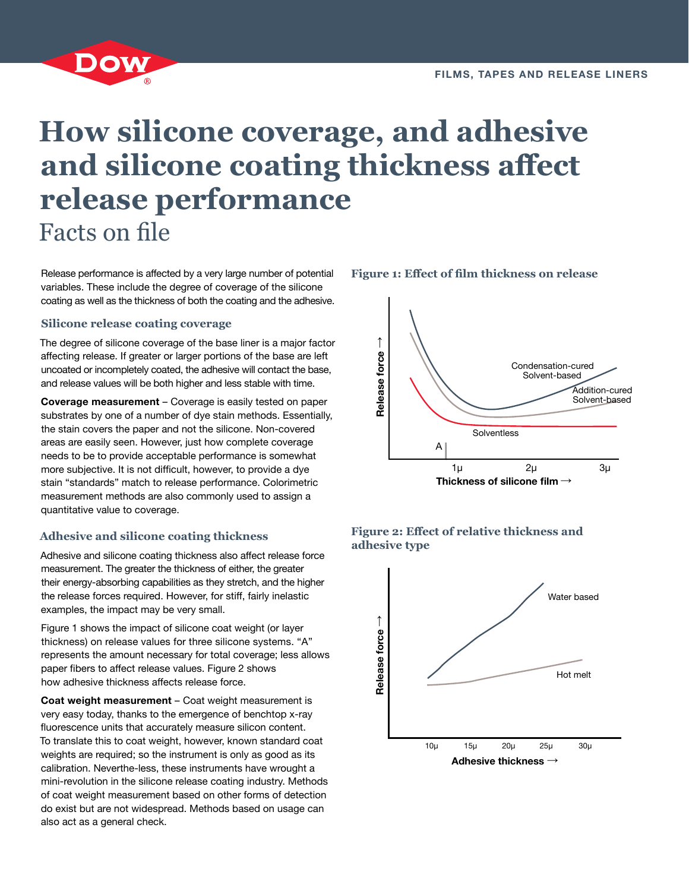

# **How silicone coverage, and adhesive and silicone coating thickness affect release performance** Facts on file

Release performance is affected by a very large number of potential variables. These include the degree of coverage of the silicone coating as well as the thickness of both the coating and the adhesive.

#### **Silicone release coating coverage**

The degree of silicone coverage of the base liner is a major factor affecting release. If greater or larger portions of the base are left uncoated or incompletely coated, the adhesive will contact the base, and release values will be both higher and less stable with time.

**Coverage measurement** – Coverage is easily tested on paper substrates by one of a number of dye stain methods. Essentially, the stain covers the paper and not the silicone. Non-covered areas are easily seen. However, just how complete coverage needs to be to provide acceptable performance is somewhat more subjective. It is not difficult, however, to provide a dye stain "standards" match to release performance. Colorimetric measurement methods are also commonly used to assign a quantitative value to coverage.

#### **Adhesive and silicone coating thickness**

Adhesive and silicone coating thickness also affect release force measurement. The greater the thickness of either, the greater their energy-absorbing capabilities as they stretch, and the higher the release forces required. However, for stiff, fairly inelastic examples, the impact may be very small.

Figure 1 shows the impact of silicone coat weight (or layer thickness) on release values for three silicone systems. "A" represents the amount necessary for total coverage; less allows paper fibers to affect release values. Figure 2 shows how adhesive thickness affects release force.

**Coat weight measurement** – Coat weight measurement is very easy today, thanks to the emergence of benchtop x-ray fluorescence units that accurately measure silicon content. To translate this to coat weight, however, known standard coat weights are required; so the instrument is only as good as its calibration. Neverthe-less, these instruments have wrought a mini-revolution in the silicone release coating industry. Methods of coat weight measurement based on other forms of detection do exist but are not widespread. Methods based on usage can also act as a general check.







**Figure 1: Effect of film thickness on release**